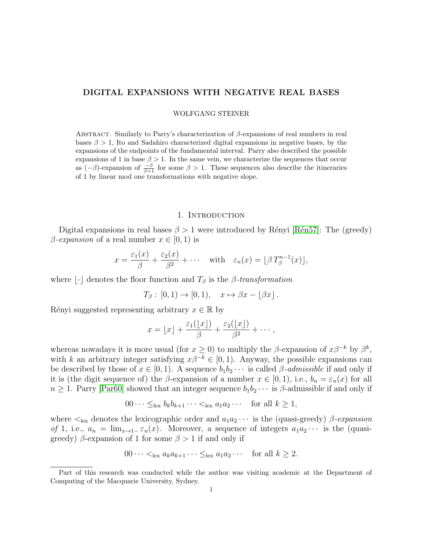# DIGITAL EXPANSIONS WITH NEGATIVE REAL BASES

WOLFGANG STEINER

ABSTRACT. Similarly to Parry's characterization of  $\beta$ -expansions of real numbers in real bases  $\beta > 1$ , Ito and Sadahiro characterized digital expansions in negative bases, by the expansions of the endpoints of the fundamental interval. Parry also described the possible expansions of 1 in base  $\beta > 1$ . In the same vein, we characterize the sequences that occur as  $(-\beta)$ -expansion of  $\frac{-\beta}{\beta+1}$  for some  $\beta > 1$ . These sequences also describe the itineraries of 1 by linear mod one transformations with negative slope.

## 1. INTRODUCTION

Digital expansions in real bases  $\beta > 1$  were introduced by Rényi [Rén57]: The (greedy)  $\beta$ -expansion of a real number  $x \in [0, 1)$  is

$$
x = \frac{\varepsilon_1(x)}{\beta} + \frac{\varepsilon_2(x)}{\beta^2} + \cdots \quad \text{with} \quad \varepsilon_n(x) = \lfloor \beta T_\beta^{n-1}(x) \rfloor,
$$

where  $\lfloor \cdot \rfloor$  denotes the floor function and  $T_\beta$  is the  $\beta$ -transformation

 $T_{\beta} : [0, 1) \rightarrow [0, 1), \quad x \mapsto \beta x - |\beta x|.$ 

Rényi suggested representing arbitrary  $x \in \mathbb{R}$  by

$$
x = \lfloor x \rfloor + \frac{\varepsilon_1(\lfloor x \rfloor)}{\beta} + \frac{\varepsilon_2(\lfloor x \rfloor)}{\beta^2} + \cdots,
$$

whereas nowadays it is more usual (for  $x \ge 0$ ) to multiply the  $\beta$ -expansion of  $x\beta^{-k}$  by  $\beta^k$ , with k an arbitrary integer satisfying  $x\beta^{-k} \in [0, 1)$ . Anyway, the possible expansions can be described by those of  $x \in [0, 1)$ . A sequence  $b_1b_2 \cdots$  is called  $\beta$ -admissible if and only if it is (the digit sequence of) the β-expansion of a number  $x \in [0,1)$ , i.e.,  $b_n = \varepsilon_n(x)$  for all  $n \geq 1$ . Parry [\[Par60\]](#page-9-1) showed that an integer sequence  $b_1b_2 \cdots$  is  $\beta$ -admissible if and only if

$$
00 \cdots \leq_{\text{lex}} b_k b_{k+1} \cdots <_{\text{lex}} a_1 a_2 \cdots \quad \text{for all } k \geq 1,
$$

where  $\lt_{\text{lex}}$  denotes the lexicographic order and  $a_1 a_2 \cdots$  is the (quasi-greedy)  $\beta$ -expansion of 1, i.e.,  $a_n = \lim_{x\to 1^-} \varepsilon_n(x)$ . Moreover, a sequence of integers  $a_1 a_2 \cdots$  is the (quasigreedy)  $\beta$ -expansion of 1 for some  $\beta > 1$  if and only if

$$
00 \cdots <_{\text{lex}} a_k a_{k+1} \cdots \leq_{\text{lex}} a_1 a_2 \cdots \quad \text{for all } k \geq 2.
$$

Part of this research was conducted while the author was visiting academic at the Department of Computing of the Macquarie University, Sydney.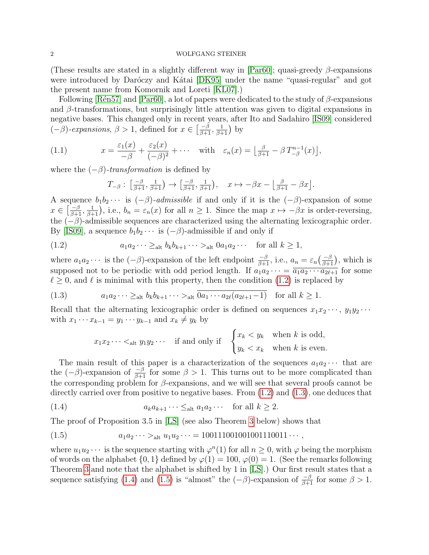(These results are stated in a slightly different way in [\[Par60\]](#page-9-1); quasi-greedy  $\beta$ -expansions were introduced by Daróczy and Kátai [\[DK95\]](#page-9-2) under the name "quasi-regular" and got the present name from Komornik and Loreti [\[KL07\]](#page-9-3).)

Following [Rén57] and [\[Par60\]](#page-9-1), a lot of papers were dedicated to the study of  $\beta$ -expansions and  $\beta$ -transformations, but surprisingly little attention was given to digital expansions in negative bases. This changed only in recent years, after Ito and Sadahiro [\[IS09\]](#page-9-4) considered  $(-\beta)$ -expansions,  $\beta > 1$ , defined for  $x \in \left[\frac{-\beta}{\beta+1}, \frac{1}{\beta+1}\right)$  by

(1.1) 
$$
x = \frac{\varepsilon_1(x)}{-\beta} + \frac{\varepsilon_2(x)}{(-\beta)^2} + \cdots \text{ with } \varepsilon_n(x) = \left\lfloor \frac{\beta}{\beta+1} - \beta T_{-\beta}^{n-1}(x) \right\rfloor,
$$

where the  $(-\beta)$ -transformation is defined by

<span id="page-1-4"></span><span id="page-1-0"></span>
$$
T_{-\beta}:\ \left[\tfrac{-\beta}{\beta+1},\tfrac{1}{\beta+1}\right)\to\left[\tfrac{-\beta}{\beta+1},\tfrac{1}{\beta+1}\right),\quad x\mapsto -\beta x-\left\lfloor\tfrac{\beta}{\beta+1}-\beta x\right\rfloor.
$$

A sequence  $b_1b_2 \cdots$  is  $(-\beta)$ -admissible if and only if it is the  $(-\beta)$ -expansion of some  $x \in \left[\frac{-\beta}{\beta+1}, \frac{1}{\beta+1}\right]$ , i.e.,  $b_n = \varepsilon_n(x)$  for all  $n \geq 1$ . Since the map  $x \mapsto -\beta x$  is order-reversing, the  $(-\beta)$ -admissible sequences are characterized using the alternating lexicographic order. By [\[IS09\]](#page-9-4), a sequence  $b_1b_2 \cdots$  is  $(-\beta)$ -admissible if and only if

(1.2) 
$$
a_1 a_2 \cdots \ge_{\text{alt}} b_k b_{k+1} \cdots >_{\text{alt}} 0 a_1 a_2 \cdots \quad \text{for all } k \geq 1,
$$

where  $a_1a_2\cdots$  is the  $(-\beta)$ -expansion of the left endpoint  $\frac{-\beta}{\beta+1}$ , i.e.,  $a_n = \varepsilon_n(\frac{-\beta}{\beta+1})$ , which is supposed not to be periodic with odd period length. If  $a_1 a_2 \cdots = \overline{a_1 a_2 \cdots a_{2\ell+1}}$  for some  $\ell \geq 0$ , and  $\ell$  is minimal with this property, then the condition [\(1.2\)](#page-1-0) is replaced by

$$
(1.3) \t a_1 a_2 \cdots \ge_{\text{alt}} b_k b_{k+1} \cdots >_{\text{alt}} \overline{0 a_1 \cdots a_{2\ell} (a_{2\ell+1} - 1)} \text{ for all } k \ge 1.
$$

Recall that the alternating lexicographic order is defined on sequences  $x_1x_2 \cdots$ ,  $y_1y_2 \cdots$ with  $x_1 \cdots x_{k-1} = y_1 \cdots y_{k-1}$  and  $x_k \neq y_k$  by

<span id="page-1-2"></span><span id="page-1-1"></span>
$$
x_1 x_2 \cdots <_{\text{alt}} y_1 y_2 \cdots
$$
 if and only if  $\begin{cases} x_k < y_k \\ y_k < x_k \end{cases}$  when k is odd,

The main result of this paper is a characterization of the sequences  $a_1a_2 \cdots$  that are the  $(-\beta)$ -expansion of  $\frac{-\beta}{\beta+1}$  for some  $\beta > 1$ . This turns out to be more complicated than the corresponding problem for  $\beta$ -expansions, and we will see that several proofs cannot be directly carried over from positive to negative bases. From  $(1.2)$  and  $(1.3)$ , one deduces that

(1.4) 
$$
a_k a_{k+1} \cdots \leq_{\text{alt}} a_1 a_2 \cdots \quad \text{for all } k \geq 2.
$$

The proof of Proposition 3.5 in [\[LS\]](#page-9-5) (see also Theorem [3](#page-2-0) below) shows that

<span id="page-1-3"></span>
$$
(1.5) \t a_1 a_2 \cdots >_{\text{alt}} u_1 u_2 \cdots = 100111001001001110011 \cdots,
$$

where  $u_1u_2\cdots$  is the sequence starting with  $\varphi^n(1)$  for all  $n\geq 0$ , with  $\varphi$  being the morphism of words on the alphabet  $\{0, 1\}$  defined by  $\varphi(1) = 100$ ,  $\varphi(0) = 1$ . (See the remarks following Theorem [3](#page-2-0) and note that the alphabet is shifted by 1 in [\[LS\]](#page-9-5).) Our first result states that a sequence satisfying [\(1.4\)](#page-1-2) and [\(1.5\)](#page-1-3) is "almost" the  $(-\beta)$ -expansion of  $\frac{-\beta}{\beta+1}$  for some  $\beta > 1$ .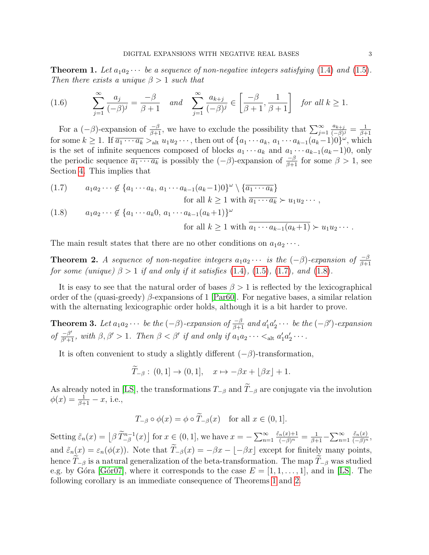<span id="page-2-3"></span>**Theorem 1.** Let  $a_1a_2\cdots$  be a sequence of non-negative integers satisfying [\(1.4\)](#page-1-2) and [\(1.5\)](#page-1-3). Then there exists a unique  $\beta > 1$  such that

<span id="page-2-5"></span>(1.6) 
$$
\sum_{j=1}^{\infty} \frac{a_j}{(-\beta)^j} = \frac{-\beta}{\beta+1} \quad and \quad \sum_{j=1}^{\infty} \frac{a_{k+j}}{(-\beta)^j} \in \left[\frac{-\beta}{\beta+1}, \frac{1}{\beta+1}\right] \quad \text{for all } k \ge 1.
$$

For a  $(-\beta)$ -expansion of  $\frac{-\beta}{\beta+1}$ , we have to exclude the possibility that  $\sum_{j=1}^{\infty}$  $a_{k+j}$  $\frac{a_{k+j}}{(-\beta)^j} = \frac{1}{\beta + j}$  $_{\beta+1}$ for some  $k \geq 1$ . If  $\overline{a_1 \cdots a_k} >_{\text{alt}} u_1 u_2 \cdots$ , then out of  $\{a_1 \cdots a_k, a_1 \cdots a_{k-1} (a_k-1) 0\}^{\omega}$ , which is the set of infinite sequences composed of blocks  $a_1 \cdots a_k$  and  $a_1 \cdots a_{k-1}(a_k-1)0$ , only the periodic sequence  $\overline{a_1 \cdots a_k}$  is possibly the  $(-\beta)$ -expansion of  $-\frac{\beta}{\beta+1}$  for some  $\beta > 1$ , see Section [4.](#page-8-0) This implies that

<span id="page-2-2"></span><span id="page-2-1"></span>
$$
(1.7) \qquad a_1 a_2 \cdots \notin \{a_1 \cdots a_k, a_1 \cdots a_{k-1} (a_k - 1) 0\}^{\omega} \setminus \{\overline{a_1 \cdots a_k}\}
$$
\n
$$
\text{for all } k \ge 1 \text{ with } \overline{a_1 \cdots a_k} \succ u_1 u_2 \cdots,
$$
\n
$$
(1.8) \qquad a_1 a_2 \cdots \notin \{a_1 \cdots a_k 0, a_1 \cdots a_{k-1} (a_k + 1)\}^{\omega}
$$
\n
$$
\text{for all } k \ge 1 \text{ with } \overline{a_1 \cdots a_{k-1} (a_k + 1)} \succ u_1 u_2 \cdots.
$$

The main result states that there are no other conditions on  $a_1 a_2 \cdots$ .

<span id="page-2-4"></span>**Theorem 2.** A sequence of non-negative integers  $a_1a_2 \cdots$  is the  $(-\beta)$ -expansion of  $\frac{-\beta}{\beta+1}$ for some (unique)  $\beta > 1$  if and only if it satisfies [\(1.4\)](#page-1-2), [\(1.5\)](#page-1-3), [\(1.7\)](#page-2-1), and [\(1.8\)](#page-2-2).

It is easy to see that the natural order of bases  $\beta > 1$  is reflected by the lexicographical order of the (quasi-greedy)  $\beta$ -expansions of 1 [\[Par60\]](#page-9-1). For negative bases, a similar relation with the alternating lexicographic order holds, although it is a bit harder to prove.

<span id="page-2-0"></span>**Theorem 3.** Let  $a_1a_2\cdots$  be the  $(-\beta)$ -expansion of  $\frac{-\beta}{\beta+1}$  and  $a'_1a'_2\cdots$  be the  $(-\beta')$ -expansion of  $\frac{-\beta'}{\beta'+1}$ , with  $\beta, \beta' > 1$ . Then  $\beta < \beta'$  if and only if  $a_1 a_2 \cdots <_{\text{alt}} a'_1 a'_2 \cdots$ .

It is often convenient to study a slightly different  $(-\beta)$ -transformation,

$$
\overline{T}_{-\beta} : (0,1] \to (0,1], \quad x \mapsto -\beta x + \lfloor \beta x \rfloor + 1.
$$

As already noted in [\[LS\]](#page-9-5), the transformations  $T_{-\beta}$  and  $T_{-\beta}$  are conjugate via the involution  $\phi(x) = \frac{1}{\beta + 1} - x$ , i.e.,

$$
T_{-\beta} \circ \phi(x) = \phi \circ \widetilde{T}_{-\beta}(x) \quad \text{for all } x \in (0, 1].
$$

Setting  $\tilde{\varepsilon}_n(x) = \left[ \beta \, \tilde{T}_{-\beta}^{n-1}(x) \right]$  for  $x \in (0,1]$ , we have  $x = -\sum_{n=1}^{\infty}$  $\frac{\tilde{\varepsilon}_n(x)+1}{(-\beta)^n} = \frac{1}{\beta+1} - \sum_{n=1}^{\infty}$  $\frac{\tilde{\varepsilon}_n(x)}{(-\beta)^n},$ and  $\tilde{\varepsilon}_n(x) = \varepsilon_n(\phi(x))$ . Note that  $\tilde{T}_{-\beta}(x) = -\beta x - \lfloor -\beta x \rfloor$  except for finitely many points, hence  $\widetilde{T}_{-\beta}$  is a natural generalization of the beta-transformation. The map  $\widetilde{T}_{-\beta}$  was studied e.g. by Góra [Gór07], where it corresponds to the case  $E = [1, 1, \ldots, 1]$ , and in [\[LS\]](#page-9-5). The following corollary is an immediate consequence of Theorems [1](#page-2-3) and [2.](#page-2-4)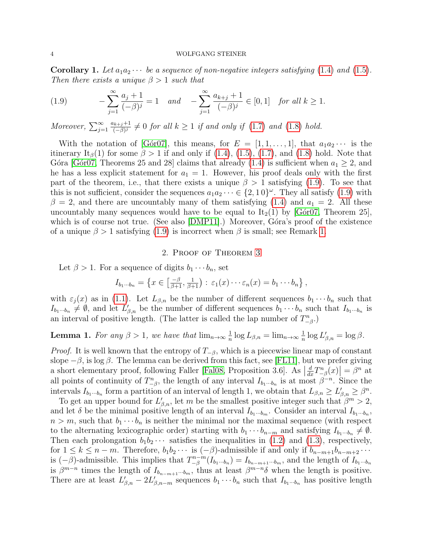**Corollary 1.** Let  $a_1a_2\cdots$  be a sequence of non-negative integers satisfying [\(1.4\)](#page-1-2) and [\(1.5\)](#page-1-3). Then there exists a unique  $\beta > 1$  such that

<span id="page-3-0"></span>(1.9) 
$$
-\sum_{j=1}^{\infty} \frac{a_j+1}{(-\beta)^j} = 1 \quad and \quad -\sum_{j=1}^{\infty} \frac{a_{k+j}+1}{(-\beta)^j} \in [0,1] \quad \text{for all } k \ge 1.
$$

Moreover,  $\sum_{j=1}^{\infty}$  $a_{k+j}+1$  $\frac{(k+j+1)}{(-\beta)^j} \neq 0$  for all  $k \geq 1$  if and only if  $(1.7)$  and  $(1.8)$  hold.

With the notation of [Goro7], this means, for  $E = [1, 1, \ldots, 1]$ , that  $a_1 a_2 \cdots$  is the itinerary It<sub>β</sub>(1) for some  $\beta > 1$  if and only if [\(1.4\)](#page-1-2), [\(1.5\)](#page-1-3), [\(1.7\)](#page-2-1), and [\(1.8\)](#page-2-2) hold. Note that Góra [Gór07, Theorems 25 and 28] claims that already [\(1.4\)](#page-1-2) is sufficient when  $a_1 \geq 2$ , and he has a less explicit statement for  $a_1 = 1$ . However, his proof deals only with the first part of the theorem, i.e., that there exists a unique  $\beta > 1$  satisfying [\(1.9\)](#page-3-0). To see that this is not sufficient, consider the sequences  $a_1 a_2 \cdots \in \{2, 10\}^\omega$ . They all satisfy [\(1.9\)](#page-3-0) with  $\beta = 2$ , and there are uncountably many of them satisfying [\(1.4\)](#page-1-2) and  $a_1 = 2$ . All these uncountably many sequences would have to be equal to  $It_2(1)$  by [ $G\acute{o}r07$ , Theorem 25], which is of course not true. (See also [\[DMP11\]](#page-9-7).) Moreover, Góra's proof of the existence of a unique  $\beta > 1$  satisfying [\(1.9\)](#page-3-0) is incorrect when  $\beta$  is small; see Remark [1.](#page-8-1)

# 2. Proof of Theorem [3](#page-2-0)

Let  $\beta > 1$ . For a sequence of digits  $b_1 \cdots b_n$ , set

$$
I_{b_1\cdots b_n} = \left\{ x \in \left[ \frac{-\beta}{\beta+1}, \frac{1}{\beta+1} \right) : \, \varepsilon_1(x) \cdots \varepsilon_n(x) = b_1 \cdots b_n \right\},
$$

with  $\varepsilon_j(x)$  as in [\(1.1\)](#page-1-4). Let  $L_{\beta,n}$  be the number of different sequences  $b_1 \cdots b_n$  such that  $I_{b_1\cdots b_n}\neq \emptyset$ , and let  $L'_{\beta,n}$  be the number of different sequences  $b_1\cdots b_n$  such that  $I_{b_1\cdots b_n}$  is an interval of positive length. (The latter is called the lap number of  $T_{-\beta}^n$ .)

#### <span id="page-3-1"></span>**Lemma 1.** For any  $\beta > 1$ , we have that  $\lim_{n \to \infty} \frac{1}{n}$  $\frac{1}{n} \log L_{\beta,n} = \lim_{n \to \infty} \frac{1}{n}$  $\frac{1}{n} \log L'_{\beta,n} = \log \beta.$

*Proof.* It is well known that the entropy of  $T_{-\beta}$ , which is a piecewise linear map of constant slope  $-\beta$ , is log  $\beta$ . The lemma can be derived from this fact, see [\[FL11\]](#page-9-8), but we prefer giving a short elementary proof, following Faller [\[Fal08,](#page-9-9) Proposition 3.6]. As  $\left|\frac{d}{dx}T_{-\beta}^n(x)\right| = \beta^n$  at all points of continuity of  $T_{-\beta}^n$ , the length of any interval  $I_{b_1\cdots b_n}$  is at most  $\beta^{-n}$ . Since the intervals  $I_{b_1\cdots b_n}$  form a partition of an interval of length 1, we obtain that  $L_{\beta,n} \ge L'_{\beta,n} \ge \beta^n$ .

To get an upper bound for  $L'_{\beta,n}$ , let m be the smallest positive integer such that  $\beta^m > 2$ , and let  $\delta$  be the minimal positive length of an interval  $I_{b_1\cdots b_m}$ . Consider an interval  $I_{b_1\cdots b_n}$ ,  $n > m$ , such that  $b_1 \cdots b_n$  is neither the minimal nor the maximal sequence (with respect to the alternating lexicographic order) starting with  $b_1 \cdots b_{n-m}$  and satisfying  $I_{b_1\cdots b_n} \neq \emptyset$ . Then each prolongation  $b_1b_2 \cdots$  satisfies the inequalities in [\(1.2\)](#page-1-0) and [\(1.3\)](#page-1-1), respectively, for  $1 \leq k \leq n-m$ . Therefore,  $b_1b_2\cdots$  is  $(-\beta)$ -admissible if and only if  $b_{n-m+1}b_{n-m+2}\cdots$ is  $(-\beta)$ -admissible. This implies that  $T_{-\beta}^{n-m}$  $\binom{m-m}{-\beta}(I_{b_1\cdots b_m})=I_{b_{n-m+1}\cdots b_m}$ , and the length of  $I_{b_1\cdots b_m}$ is  $\beta^{m-n}$  times the length of  $I_{b_{n-m+1}\cdots b_m}$ , thus at least  $\beta^{m-n}\delta$  when the length is positive. There are at least  $L'_{\beta,n} - 2L'_{\beta,n-m}$  sequences  $b_1 \cdots b_n$  such that  $I_{b_1 \cdots b_n}$  has positive length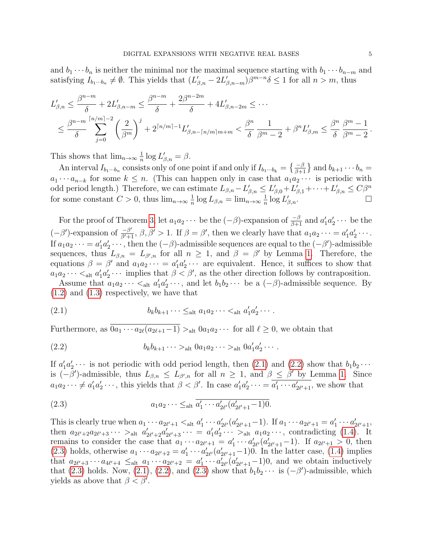and  $b_1 \cdots b_n$  is neither the minimal nor the maximal sequence starting with  $b_1 \cdots b_{n-m}$  and satisfying  $I_{b_1\cdots b_n} \neq \emptyset$ . This yields that  $(L'_{\beta,n} - 2L'_{\beta,n-m})\beta^{m-n}\delta \leq 1$  for all  $n > m$ , thus

$$
L'_{\beta,n} \leq \frac{\beta^{n-m}}{\delta} + 2L'_{\beta,n-m} \leq \frac{\beta^{n-m}}{\delta} + \frac{2\beta^{n-2m}}{\delta} + 4L'_{\beta,n-2m} \leq \cdots
$$
  

$$
\leq \frac{\beta^{n-m}}{\delta} \sum_{j=0}^{\lceil n/m \rceil - 2} \left(\frac{2}{\beta^m}\right)^j + 2^{\lceil n/m \rceil - 1} L'_{\beta,n-\lceil n/m \rceil m+m} < \frac{\beta^n}{\delta} \frac{1}{\beta^m - 2} + \beta^n L'_{\beta,m} \leq \frac{\beta^n}{\delta} \frac{\beta^m - 1}{\beta^m - 2}.
$$

This shows that  $\lim_{n\to\infty} \frac{1}{n}$  $\frac{1}{n} \log L'_{\beta,n} = \beta.$ 

An interval  $I_{b_1\cdots b_n}$  consists only of one point if and only if  $I_{b_1\cdots b_k} = \left\{\frac{-\beta}{\beta+1}\right\}$  and  $b_{k+1}\cdots b_n =$  $a_1 \cdots a_{n-k}$  for some  $k \leq n$ . (This can happen only in case that  $a_1 a_2 \cdots$  is periodic with odd period length.) Therefore, we can estimate  $L_{\beta,n} - L'_{\beta,n} \le L'_{\beta,0} + L'_{\beta,1} + \cdots + L'_{\beta,n} \le C\beta^n$ for some constant  $C > 0$ , thus  $\lim_{n \to \infty} \frac{1}{n}$  $\frac{1}{n} \log L_{\beta,n} = \lim_{n \to \infty} \frac{1}{n}$  $\frac{1}{n} \log L'_{\beta,n}$ .

For the proof of Theorem [3,](#page-2-0) let  $a_1a_2\cdots$  be the  $(-\beta)$ -expansion of  $\frac{-\beta}{\beta+1}$  and  $a'_1a'_2\cdots$  be the  $(-\beta')$ -expansion of  $\frac{-\beta'}{\beta'+1}$ ,  $\beta$ ,  $\beta' > 1$ . If  $\beta = \beta'$ , then we clearly have that  $a_1 a_2 \cdots = a'_1 a'_2 \cdots$ . If  $a_1a_2\cdots = a'_1a'_2\cdots$ , then the  $(-\beta)$ -admissible sequences are equal to the  $(-\beta')$ -admissible sequences, thus  $L_{\beta,n} = L_{\beta',n}$  for all  $n \geq 1$ , and  $\beta = \beta'$  by Lemma [1.](#page-3-1) Therefore, the equations  $\beta = \beta'$  and  $a_1 a_2 \cdots = a'_1 a'_2 \cdots$  are equivalent. Hence, it suffices to show that  $a_1 a_2 \cdots <_{\text{alt}} a'_1 a'_2 \cdots$  implies that  $\beta < \beta'$ , as the other direction follows by contraposition.

Assume that  $a_1 a_2 \cdots <_{\text{alt}} a'_1 a'_2 \cdots$ , and let  $b_1 b_2 \cdots$  be a  $(-\beta)$ -admissible sequence. By [\(1.2\)](#page-1-0) and [\(1.3\)](#page-1-1) respectively, we have that

<span id="page-4-0"></span>(2.1) 
$$
b_k b_{k+1} \cdots \leq_{\text{alt}} a_1 a_2 \cdots <_{\text{alt}} a'_1 a'_2 \cdots
$$

Furthermore, as  $\overline{0a_1 \cdots a_{2\ell}(a_{2\ell+1}-1)} >$  alt  $0a_1a_2 \cdots$  for all  $\ell \geq 0$ , we obtain that

<span id="page-4-1"></span>(2.2) 
$$
b_k b_{k+1} \cdots >_{\text{alt}} 0 a_1 a_2 \cdots >_{\text{alt}} 0 a'_1 a'_2 \cdots
$$

If  $a'_1a'_2\cdots$  is not periodic with odd period length, then [\(2.1\)](#page-4-0) and [\(2.2\)](#page-4-1) show that  $b_1b_2\cdots$ is  $(-\beta')$ -admissible, thus  $L_{\beta,n} \leq L_{\beta',n}$  for all  $n \geq 1$ , and  $\beta \leq \beta'$  by Lemma [1.](#page-3-1) Since  $a_1 a_2 \cdots \neq a'_1 a'_2 \cdots$ , this yields that  $\beta < \beta'$ . In case  $a'_1 a'_2 \cdots = a'_1 \cdots a'_{2\ell'+1}$ , we show that

<span id="page-4-2"></span>(2.3) 
$$
a_1 a_2 \cdots \leq_{\text{alt}} \overline{a'_1 \cdots a'_{2\ell'} (a'_{2\ell'+1} - 1) 0}.
$$

This is clearly true when  $a_1 \cdots a_{2\ell'+1} <_{\text{alt}} a'_1 \cdots a'_{2\ell'} (a'_{2\ell'+1}-1)$ . If  $a_1 \cdots a_{2\ell'+1} = a'_1 \cdots a'_{2\ell'+1}$ , then  $a_{2\ell'+2}a_{2\ell'+3}\cdots >_{\text{alt}} a'_{2\ell'+2}a'_{2\ell'+3}\cdots = a'_{1}a'_{2}\cdots >_{\text{alt}} a_{1}a_{2}\cdots$ , contradicting [\(1.4\)](#page-1-2). It remains to consider the case that  $a_1 \cdots a_{2\ell'+1} = a'_1 \cdots a'_{2\ell'} (a'_{2\ell'+1}-1)$ . If  $a_{2\ell'+1} > 0$ , then [\(2.3\)](#page-4-2) holds, otherwise  $a_1 \cdots a_{2\ell'+2} = a'_1 \cdots a'_{2\ell'} (a'_{2\ell'+1}-1)0$ . In the latter case, [\(1.4\)](#page-1-2) implies that  $a_{2\ell'+3}\cdots a_{4\ell'+4} \leq_{\text{alt}} a_1\cdots a_{2\ell'+2} = a'_1\cdots a'_{2\ell'} (a'_{2\ell'+1}-1)0$ , and we obtain inductively that [\(2.3\)](#page-4-2) holds. Now, [\(2.1\)](#page-4-0), [\(2.2\)](#page-4-1), and (2.3) show that  $b_1b_2 \cdots$  is  $(-\beta')$ -admissible, which yields as above that  $\beta < \beta'$ .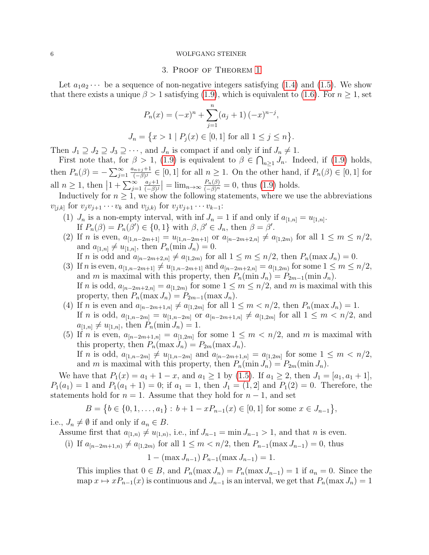# 3. Proof of Theorem [1](#page-2-3)

Let  $a_1a_2\cdots$  be a sequence of non-negative integers satisfying [\(1.4\)](#page-1-2) and [\(1.5\)](#page-1-3). We show that there exists a unique  $\beta > 1$  satisfying [\(1.9\)](#page-3-0), which is equivalent to [\(1.6\)](#page-2-5). For  $n \ge 1$ , set

$$
P_n(x) = (-x)^n + \sum_{j=1}^n (a_j + 1) (-x)^{n-j},
$$
  
\n
$$
J_n = \{x > 1 \mid P_j(x) \in [0, 1] \text{ for all } 1 \le j \le n\}.
$$

Then  $J_1 \supseteq J_2 \supseteq J_3 \supseteq \cdots$ , and  $J_n$  is compact if and only if inf  $J_n \neq 1$ .

First note that, for  $\beta > 1$ , [\(1.9\)](#page-3-0) is equivalent to  $\beta \in \bigcap_{n\geq 1} J_n$ . Indeed, if (1.9) holds, then  $P_n(\beta) = -\sum_{j=1}^{\infty}$  $a_{n+j}+1$  $\frac{(n+j+1)}{(-\beta)^j} \in [0,1]$  for all  $n \geq 1$ . On the other hand, if  $P_n(\beta) \in [0,1]$  for all  $n \geq 1$ , then  $\left|1 + \sum_{j=1}^{\infty} \right|$  $a_j+1$  $\frac{a_j+1}{(-\beta)^j}$  =  $\lim_{n\to\infty} \frac{P_n(\beta)}{(-\beta)^n} = 0$ , thus [\(1.9\)](#page-3-0) holds.

Inductively for  $n \geq 1$ , we show the following statements, where we use the abbreviations  $v_{[j,k]}$  for  $v_j v_{j+1} \cdots v_k$  and  $v_{[j,k]}$  for  $v_j v_{j+1} \cdots v_{k-1}$ :

- <span id="page-5-5"></span>(1)  $J_n$  is a non-empty interval, with inf  $J_n = 1$  if and only if  $a_{[1,n]} = u_{[1,n]}$ . If  $P_n(\beta) = P_n(\beta') \in \{0, 1\}$  with  $\beta, \beta' \in J_n$ , then  $\beta = \beta'$ .
- <span id="page-5-4"></span>(2) If *n* is even,  $a_{[1,n-2m+1]} = u_{[1,n-2m+1]}$  or  $a_{[n-2m+2,n]} \neq a_{[1,2m]}$  for all  $1 \leq m \leq n/2$ , and  $a_{[1,n]} \neq u_{[1,n]}$ , then  $P_n(\min J_n) = 0$ .
	- If *n* is odd and  $a_{[n-2m+2,n]} \neq a_{[1,2m)}$  for all  $1 \leq m \leq n/2$ , then  $P_n(\max J_n) = 0$ .
- <span id="page-5-3"></span>(3) If *n* is even,  $a_{[1,n-2m+1]} \neq u_{[1,n-2m+1]}$  and  $a_{[n-2m+2,n]} = a_{[1,2m)}$  for some  $1 \leq m \leq n/2$ , and m is maximal with this property, then  $P_n(\min J_n) = P_{2m-1}(\min J_n)$ . If n is odd,  $a_{[n-2m+2,n]} = a_{[1,2m)}$  for some  $1 \leq m \leq n/2$ , and m is maximal with this property, then  $P_n(\max J_n) = P_{2m-1}(\max J_n)$ .
- <span id="page-5-0"></span>(4) If *n* is even and  $a_{[n-2m+1,n]} \neq a_{[1,2m]}$  for all  $1 \leq m < n/2$ , then  $P_n(\max J_n) = 1$ . If *n* is odd,  $a_{[1,n-2m]} = u_{[1,n-2m]}$  or  $a_{[n-2m+1,n]} \neq a_{[1,2m]}$  for all  $1 \leq m \leq n/2$ , and  $a_{[1,n]} \neq u_{[1,n]}$ , then  $P_n(\min J_n) = 1$ .
- <span id="page-5-1"></span>(5) If *n* is even,  $a_{[n-2m+1,n]} = a_{[1,2m]}$  for some  $1 \leq m < n/2$ , and *m* is maximal with this property, then  $P_n(\max J_n) = P_{2m}(\max J_n)$ . If *n* is odd,  $a_{[1,n-2m]} \neq u_{[1,n-2m]}$  and  $a_{[n-2m+1,n]} = a_{[1,2m]}$  for some  $1 \leq m \leq n/2$ , and m is maximal with this property, then  $P_n(\min J_n) = P_{2m}(\min J_n)$ .

We have that  $P_1(x) = a_1 + 1 - x$ , and  $a_1 \ge 1$  by [\(1.5\)](#page-1-3). If  $a_1 \ge 2$ , then  $J_1 = [a_1, a_1 + 1]$ ,  $P_1(a_1) = 1$  and  $P_1(a_1 + 1) = 0$ ; if  $a_1 = 1$ , then  $J_1 = (1, 2]$  and  $P_1(2) = 0$ . Therefore, the statements hold for  $n = 1$ . Assume that they hold for  $n - 1$ , and set

$$
B = \{b \in \{0, 1, \ldots, a_1\} : b + 1 - xP_{n-1}(x) \in [0, 1] \text{ for some } x \in J_{n-1}\},\
$$

i.e.,  $J_n \neq \emptyset$  if and only if  $a_n \in B$ .

<span id="page-5-2"></span>Assume first that  $a_{[1,n)} \neq u_{[1,n)}$ , i.e., inf  $J_{n-1} = \min J_{n-1} > 1$ , and that n is even.

(i) If  $a_{[n-2m+1,n)} \neq a_{[1,2m)}$  for all  $1 \leq m < n/2$ , then  $P_{n-1}(\max J_{n-1}) = 0$ , thus

$$
1 - (\max J_{n-1}) P_{n-1}(\max J_{n-1}) = 1.
$$

This implies that  $0 \in B$ , and  $P_n(\max J_n) = P_n(\max J_{n-1}) = 1$  if  $a_n = 0$ . Since the map  $x \mapsto xP_{n-1}(x)$  is continuous and  $J_{n-1}$  is an interval, we get that  $P_n(\max J_n) = 1$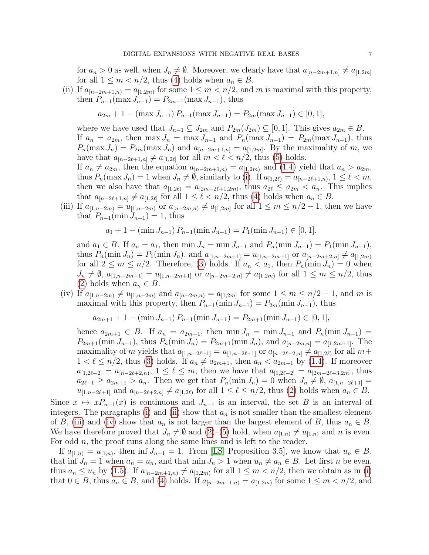for  $a_n > 0$  as well, when  $J_n \neq \emptyset$ . Moreover, we clearly have that  $a_{[n-2m+1,n]} \neq a_{[1,2m]}$ for all  $1 \leq m < n/2$ , thus [\(4\)](#page-5-0) holds when  $a_n \in B$ .

<span id="page-6-0"></span>(ii) If  $a_{[n-2m+1,n)} = a_{[1,2m)}$  for some  $1 \leq m < n/2$ , and m is maximal with this property, then  $P_{n-1}(\max J_{n-1}) = P_{2m-1}(\max J_{n-1}),$  thus

$$
a_{2m} + 1 - (\max J_{n-1}) P_{n-1}(\max J_{n-1}) = P_{2m}(\max J_{n-1}) \in [0, 1],
$$

where we have used that  $J_{n-1} \subseteq J_{2m}$  and  $P_{2m}(J_{2m}) \subseteq [0,1]$ . This gives  $a_{2m} \in B$ . If  $a_n = a_{2m}$ , then  $\max J_n = \max J_{n-1}$  and  $P_n(\max J_{n-1}) = P_{2m}(\max J_{n-1})$ , thus  $P_n(\max J_n) = P_{2m}(\max J_n)$  and  $a_{[n-2m+1,n]} = a_{[1,2m]}$ . By the maximality of m, we have that  $a_{[n-2\ell+1,n]} \neq a_{[1,2\ell]}$  for all  $m < \ell < n/2$ , thus [\(5\)](#page-5-1) holds. If  $a_n \neq a_{2m}$ , then the equation  $a_{[n-2m+1,n]} = a_{[1,2m)}$  and [\(1.4\)](#page-1-2) yield that  $a_n > a_{2m}$ , thus  $P_n(\max J_n) = 1$  when  $J_n \neq \emptyset$ , similarly to [\(i\)](#page-5-2). If  $a_{[1,2\ell)} = a_{[n-2\ell+1,n)}$ ,  $1 \leq \ell < m$ , then we also have that  $a_{[1,2\ell)} = a_{[2m-2\ell+1,2m)}$ , thus  $a_{2\ell} \le a_{2m} < a_n$ . This implies

<span id="page-6-1"></span>that  $a_{[n-2\ell+1,n]} \neq a_{[1,2\ell]}$  for all  $1 \leq \ell < n/2$ , thus [\(4\)](#page-5-0) holds when  $a_n \in B$ . (iii) If  $a_{[1,n-2m)} = u_{[1,n-2m)}$  or  $a_{[n-2m,n)} \neq a_{[1,2m]}$  for all  $1 \leq m \leq n/2-1$ , then we have that  $P_{n-1}(\min J_{n-1}) = 1$ , thus

$$
a_1 + 1 - (\min J_{n-1}) P_{n-1}(\min J_{n-1}) = P_1(\min J_{n-1}) \in [0, 1],
$$

and  $a_1 \in B$ . If  $a_n = a_1$ , then min  $J_n = \min J_{n-1}$  and  $P_n(\min J_{n-1}) = P_1(\min J_{n-1}),$ thus  $P_n(\min J_n) = P_1(\min J_n)$ , and  $a_{[1,n-2m+1]} = u_{[1,n-2m+1]}$  or  $a_{[n-2m+2,n]} \neq a_{[1,2m)}$ for all  $2 \leq m \leq n/2$ . Therefore, [\(3\)](#page-5-3) holds. If  $a_n < a_1$ , then  $P_n(\min J_n) = 0$  when  $J_n \neq \emptyset$ ,  $a_{[1,n-2m+1]} = u_{[1,n-2m+1]}$  or  $a_{[n-2m+2,n]} \neq a_{[1,2m)}$  for all  $1 \leq m \leq n/2$ , thus [\(2\)](#page-5-4) holds when  $a_n \in B$ .

<span id="page-6-2"></span>(iv) If  $a_{[1,n-2m)} \neq u_{[1,n-2m)}$  and  $a_{[n-2m,n)} = a_{[1,2m]}$  for some  $1 \leq m \leq n/2 - 1$ , and m is maximal with this property, then  $P_{n-1}(\min J_{n-1}) = P_{2m}(\min J_{n-1}),$  thus

 $a_{2m+1} + 1 - \min J_{n-1}$   $P_{n-1}(\min J_{n-1}) = P_{2m+1}(\min J_{n-1}) \in [0,1],$ 

hence  $a_{2m+1} \in B$ . If  $a_n = a_{2m+1}$ , then  $\min J_n = \min J_{n-1}$  and  $P_n(\min J_{n-1}) =$  $P_{2m+1}(\min J_{n-1}),$  thus  $P_n(\min J_n) = P_{2m+1}(\min J_n),$  and  $a_{[n-2m,n]} = a_{[1,2m+1]}$ . The maximality of m yields that  $a_{[1,n-2\ell+1]} = u_{[1,n-2\ell+1]}$  or  $a_{[n-2\ell+2,n]} \neq a_{[1,2\ell)}$  for all  $m+$  $1 < \ell \leq n/2$ , thus [\(3\)](#page-5-3) holds. If  $a_n \neq a_{2m+1}$ , then  $a_n < a_{2m+1}$  by [\(1.4\)](#page-1-2). If moreover  $a_{[1,2\ell-2]} = a_{[n-2\ell+2,n)}$ ,  $1 \leq \ell \leq m$ , then we have that  $a_{[1,2\ell-2]} = a_{[2m-2\ell+3,2m]}$ , thus  $a_{2\ell-1} \ge a_{2m+1} > a_n$ . Then we get that  $P_n(\min J_n) = 0$  when  $J_n \ne \emptyset$ ,  $a_{[1,n-2\ell+1]} =$  $u_{[1,n-2\ell+1]}$  and  $a_{[n-2\ell+2,n]} \neq a_{[1,2\ell)}$  for all  $1 \leq \ell \leq n/2$ , thus [\(2\)](#page-5-4) holds when  $a_n \in B$ .

Since  $x \mapsto xP_{n-1}(x)$  is continuous and  $J_{n-1}$  is an interval, the set B is an interval of integers. The paragraphs [\(i\)](#page-5-2) and [\(ii\)](#page-6-0) show that  $a_n$  is not smaller than the smallest element of B, [\(iii\)](#page-6-1) and [\(iv\)](#page-6-2) show that  $a_n$  is not larger than the largest element of B, thus  $a_n \in B$ . We have therefore proved that  $J_n \neq \emptyset$  and  $(2)$ –[\(5\)](#page-5-1) hold, when  $a_{[1,n)} \neq u_{[1,n)}$  and n is even. For odd *n*, the proof runs along the same lines and is left to the reader.

If  $a_{[1,n)} = u_{[1,n)}$ , then inf  $J_{n-1} = 1$ . From [\[LS,](#page-9-5) Proposition 3.5], we know that  $u_n \in B$ , that inf  $J_n = 1$  when  $a_n = u_n$ , and that min  $J_n > 1$  when  $u_n \neq a_n \in B$ . Let first n be even, thus  $a_n \leq u_n$  by [\(1.5\)](#page-1-3). If  $a_{[n-2m+1,n)} \neq a_{[1,2m)}$  for all  $1 \leq m \lt n/2$ , then we obtain as in [\(i\)](#page-5-2) that  $0 \in B$ , thus  $a_n \in B$ , and [\(4\)](#page-5-0) holds. If  $a_{[n-2m+1,n)} = a_{[1,2m)}$  for some  $1 \leq m \leq n/2$ , and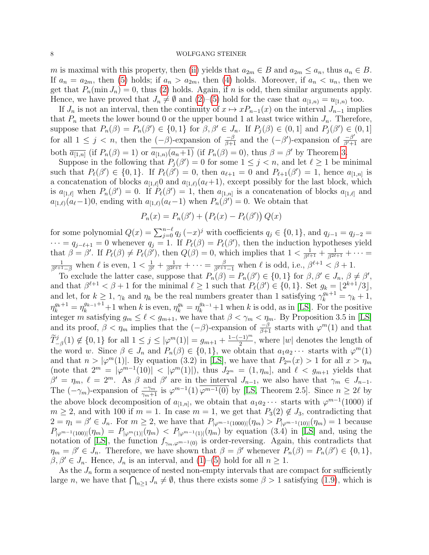m is maximal with this property, then [\(ii\)](#page-6-0) yields that  $a_{2m} \in B$  and  $a_{2m} \le a_n$ , thus  $a_n \in B$ . If  $a_n = a_{2m}$ , then [\(5\)](#page-5-1) holds; if  $a_n > a_{2m}$ , then [\(4\)](#page-5-0) holds. Moreover, if  $a_n < u_n$ , then we get that  $P_n(\min J_n) = 0$ , thus [\(2\)](#page-5-4) holds. Again, if n is odd, then similar arguments apply. Hence, we have proved that  $J_n \neq \emptyset$  and  $(2)$ –[\(5\)](#page-5-1) hold for the case that  $a_{[1,n)} = u_{[1,n)}$  too.

If  $J_n$  is not an interval, then the continuity of  $x \mapsto xP_{n-1}(x)$  on the interval  $J_{n-1}$  implies that  $P_n$  meets the lower bound 0 or the upper bound 1 at least twice within  $J_n$ . Therefore, suppose that  $P_n(\beta) = P_n(\beta') \in \{0,1\}$  for  $\beta, \beta' \in J_n$ . If  $P_j(\beta) \in (0,1]$  and  $P_j(\beta') \in (0,1]$ for all  $1 \leq j < n$ , then the  $(-\beta)$ -expansion of  $\frac{-\beta}{\beta+1}$  and the  $(-\beta')$ -expansion of  $\frac{-\beta'}{\beta'+1}$  are both  $\overline{a_{[1,n]}}$  (if  $P_n(\beta) = 1$ ) or  $\overline{a_{[1,n]}(a_n+1)}$  (if  $P_n(\beta) = 0$ ), thus  $\beta = \beta'$  by Theorem [3.](#page-2-0)

Suppose in the following that  $P_j(\beta') = 0$  for some  $1 \leq j \leq n$ , and let  $\ell \geq 1$  be minimal such that  $P_{\ell}(\beta') \in \{0,1\}$ . If  $P_{\ell}(\beta') = 0$ , then  $a_{\ell+1} = 0$  and  $P_{\ell+1}(\beta') = 1$ , hence  $a_{[1,n]}$  is a concatenation of blocks  $a_{1,\ell}$  and  $a_{1,\ell}(a_{\ell}+1)$ , except possibly for the last block, which is  $a_{[1,\ell]}$  when  $P_n(\beta') = 0$ . If  $P_\ell(\beta') = 1$ , then  $a_{[1,n]}$  is a concatenation of blocks  $a_{[1,\ell]}$  and  $a_{[1,\ell)}(a_{\ell}-1)$ , ending with  $a_{[1,\ell)}(a_{\ell}-1)$  when  $P_n(\beta')=0$ . We obtain that

$$
P_n(x) = P_n(\beta') + (P_\ell(x) - P_\ell(\beta')) Q(x)
$$

for some polynomial  $Q(x) = \sum_{j=0}^{n-\ell} q_j (-x)^j$  with coefficients  $q_j \in \{0, 1\}$ , and  $q_{j-1} = q_{j-2} =$  $\cdots = q_{j-\ell+1} = 0$  whenever  $q_j = 1$ . If  $P_{\ell}(\beta) = P_{\ell}(\beta')$ , then the induction hypotheses yield that  $\beta = \beta'$ . If  $P_{\ell}(\beta) \neq P_{\ell}(\beta')$ , then  $Q(\beta) = 0$ , which implies that  $1 < \frac{1}{\beta^{\ell+1}} + \frac{1}{\beta^{2\ell+1}} + \cdots =$  $\frac{1}{\beta^{\ell+1}-\beta}$  when  $\ell$  is even,  $1 < \frac{1}{\beta^{\ell}} + \frac{1}{\beta^{2\ell+1}} + \cdots = \frac{\beta}{\beta^{\ell+1}-1}$  when  $\ell$  is odd, i.e.,  $\beta^{\ell+1} < \beta + 1$ .

To exclude the latter case, suppose that  $P_n(\beta) = P_n(\beta') \in \{0, 1\}$  for  $\beta, \beta' \in J_n, \beta \neq \beta'$ , and that  $\beta^{\ell+1} < \beta + 1$  for the minimal  $\ell \geq 1$  such that  $P_{\ell}(\beta') \in \{0, 1\}$ . Set  $g_k = \lfloor 2^{k+1}/3 \rfloor$ , and let, for  $k \geq 1$ ,  $\gamma_k$  and  $\eta_k$  be the real numbers greater than 1 satisfying  $\gamma_k^{g_k+1} = \gamma_k + 1$ ,  $\eta_k^{g_k+1} = \eta_k^{g_{k-1}+1} + 1$  when k is even,  $\eta_k^{g_k} = \eta_k^{g_{k-1}} + 1$  when k is odd, as in [\[LS\]](#page-9-5). For the positive integer m satisfying  $g_m \leq \ell < g_{m+1}$ , we have that  $\beta < \gamma_m < \eta_m$ . By Proposition 3.5 in [\[LS\]](#page-9-5) and its proof,  $\beta < \eta_m$  implies that the  $(-\beta)$ -expansion of  $\frac{-\beta}{\beta+1}$  starts with  $\varphi^m(1)$  and that  $\widetilde{T}_{-\beta}^j(1) \notin \{0,1\}$  for all  $1 \leq j \leq |\varphi^m(1)| = g_{m+1} + \frac{1-(-1)^m}{2}$  $\frac{-1}{2}$ , where |w| denotes the length of the word w. Since  $\beta \in J_n$  and  $P_n(\beta) \in \{0,1\}$ , we obtain that  $a_1 a_2 \cdots$  starts with  $\varphi^m(1)$ and that  $n > |\varphi^m(1)|$ . By equation (3.2) in [\[LS\]](#page-9-5), we have that  $P_{2^m}(x) > 1$  for all  $x > \eta_m$ (note that  $2^m = |\varphi^{m-1}(10)| < |\varphi^m(1)|$ ), thus  $J_{2^m} = (1, \eta_m]$ , and  $\ell < g_{m+1}$  yields that  $\beta' = \eta_m$ ,  $\ell = 2^m$ . As  $\beta$  and  $\beta'$  are in the interval  $J_{n-1}$ , we also have that  $\gamma_m \in J_{n-1}$ . The  $(-\gamma_m)$ -expansion of  $\frac{-\gamma_m}{\gamma_m+1}$  is  $\varphi^{m-1}(1)$   $\overline{\varphi^{m-1}(0)}$  by [\[LS,](#page-9-5) Theorem 2.5]. Since  $n \geq 2\ell$  by the above block decomposition of  $a_{[1,n]}$ , we obtain that  $a_1 a_2 \cdots$  starts with  $\varphi^{m-1}(1000)$  if  $m \geq 2$ , and with 100 if  $m = 1$ . In case  $m = 1$ , we get that  $P_3(2) \notin J_3$ , contradicting that  $2 = \eta_1 = \beta' \in J_n$ . For  $m \ge 2$ , we have that  $P_{|\varphi^{m-1}(1000)|}(\eta_m) > P_{|\varphi^{m-1}(10)|}(\eta_m) = 1$  because  $P_{|\varphi^{m-1}(100)|}(\eta_m) = P_{|\varphi^m(1)|}(\eta_m) < P_{|\varphi^{m-1}(1)|}(\eta_m)$  by equation (3.4) in [\[LS\]](#page-9-5) and, using the notation of [\[LS\]](#page-9-5), the function  $f_{\gamma_m,\varphi^{m-1}(0)}$  is order-reversing. Again, this contradicts that  $\eta_m = \beta' \in J_n$ . Therefore, we have shown that  $\beta = \beta'$  whenever  $P_n(\beta) = P_n(\beta') \in \{0, 1\}$ ,  $\beta, \beta' \in J_n$ . Hence,  $J_n$  is an interval, and  $(1)$ – $(5)$  hold for all  $n \geq 1$ .

As the  $J_n$  form a sequence of nested non-empty intervals that are compact for sufficiently large *n*, we have that  $\bigcap_{n\geq 1} J_n \neq \emptyset$ , thus there exists some  $\beta > 1$  satisfying [\(1.9\)](#page-3-0), which is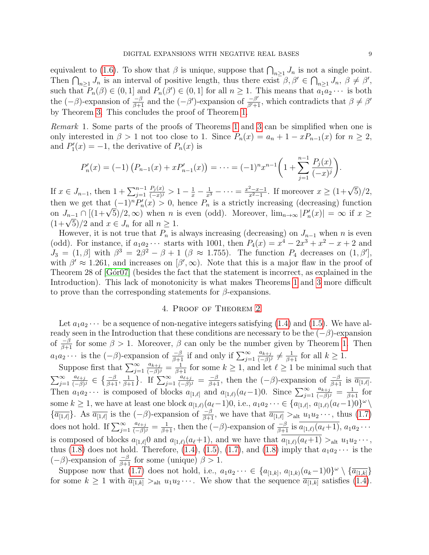equivalent to [\(1.6\)](#page-2-5). To show that  $\beta$  is unique, suppose that  $\bigcap_{n\geq 1} J_n$  is not a single point. Then  $\bigcap_{n\geq 1} J_n$  is an interval of positive length, thus there exist  $\beta, \beta' \in \bigcap_{n\geq 1} J_n$ ,  $\beta \neq \beta'$ , such that  $P_n(\beta) \in (0,1]$  and  $P_n(\beta') \in (0,1]$  for all  $n \geq 1$ . This means that  $a_1 a_2 \cdots$  is both the  $(-\beta)$ -expansion of  $\frac{-\beta}{\beta+1}$  and the  $(-\beta')$ -expansion of  $\frac{-\beta'}{\beta'+1}$ , which contradicts that  $\beta \neq \beta'$ by Theorem [3.](#page-2-0) This concludes the proof of Theorem [1.](#page-2-3)

<span id="page-8-1"></span>Remark 1. Some parts of the proofs of Theorems [1](#page-2-3) and [3](#page-2-0) can be simplified when one is only interested in  $\beta > 1$  not too close to 1. Since  $P_n(x) = a_n + 1 - xP_{n-1}(x)$  for  $n \ge 2$ , and  $P'_1(x) = -1$ , the derivative of  $P_n(x)$  is

$$
P'_n(x) = (-1) \left( P_{n-1}(x) + x P'_{n-1}(x) \right) = \dots = (-1)^n x^{n-1} \left( 1 + \sum_{j=1}^{n-1} \frac{P_j(x)}{(-x)^j} \right).
$$

If  $x \in J_{n-1}$ , then  $1 + \sum_{j=1}^{n-1}$  $P_j(x)$  $\frac{P_j(x)}{(-x)^j} > 1 - \frac{1}{x} - \frac{1}{x^3} - \cdots = \frac{x^2 - x - 1}{x^2 - 1}$  $\frac{x^2 - x - 1}{x^2 - 1}$ . If moreover  $x \ge (1 + \sqrt{5})/2$ , then we get that  $(-1)^n P'_n(x) > 0$ , hence  $P_n$  is a strictly increasing (decreasing) function then we get that  $(-1)^n F_n(x) > 0$ , hence  $F_n$  is a strictly increasing (decreasing) function<br>on  $J_{n-1} \cap [(1+\sqrt{5})/2, \infty)$  when n is even (odd). Moreover,  $\lim_{n\to\infty} |P'_n(x)| = \infty$  if  $x \ge$ on  $J_{n-1}$   $(1+\sqrt{5})/2$  (1+ $\sqrt{5}$ ) and  $x \in J_n$  for all  $n \geq 1$ .

However, it is not true that  $P_n$  is always increasing (decreasing) on  $J_{n-1}$  when n is even (odd). For instance, if  $a_1 a_2 \cdots$  starts with 1001, then  $P_4(x) = x^4 - 2x^3 + x^2 - x + 2$  and  $J_3 = (1, \beta]$  with  $\beta^3 = 2\beta^2 - \beta + 1$  ( $\beta \approx 1.755$ ). The function  $P_4$  decreases on  $(1, \beta')$ , with  $\beta' \approx 1.261$ , and increases on  $\beta', \infty$ ). Note that this is a major flaw in the proof of Theorem 28 of  $[G\acute{\sigma}r07]$  (besides the fact that the statement is incorrect, as explained in the Introduction). This lack of monotonicity is what makes Theorems [1](#page-2-3) and [3](#page-2-0) more difficult to prove than the corresponding statements for  $\beta$ -expansions.

# 4. Proof of Theorem [2](#page-2-4)

<span id="page-8-0"></span>Let  $a_1a_2\cdots$  be a sequence of non-negative integers satisfying [\(1.4\)](#page-1-2) and [\(1.5\)](#page-1-3). We have already seen in the Introduction that these conditions are necessary to be the  $(-\beta)$ -expansion of  $\frac{-\beta}{\beta+1}$  for some  $\beta > 1$ . Moreover,  $\beta$  can only be the number given by Theorem [1.](#page-2-3) Then  $a_1 a_2 \cdots$  is the  $(-\beta)$ -expansion of  $\frac{-\beta}{\beta+1}$  if and only if  $\sum_{j=1}^{\infty}$  $a_{k+j}$  $\frac{a_{k+j}}{(-\beta)^j} \neq \frac{1}{\beta+1}$  for all  $k \geq 1$ .

Suppose first that  $\sum_{j=1}^{\infty}$  $a_{k+j}$  $\frac{a_{k+j}}{(-\beta)^j} = \frac{1}{\beta+1}$  for some  $k \geq 1$ , and let  $\ell \geq 1$  be minimal such that  $\sum_{j=1}^{\infty}$  $a_{\ell+j}$  $\frac{a_{\ell+j}}{(-\beta)^j} \in \left\{\frac{-\beta}{\beta+1}, \frac{1}{\beta+1}\right\}$ . If  $\sum_{j=1}^{\infty}$  $a_{\ell+j}$  $\frac{a_{\ell+j}}{(-\beta)^j} = \frac{-\beta}{\beta+1}$ , then the  $(-\beta)$ -expansion of  $\frac{-\beta}{\beta+1}$  is  $\overline{a_{[1,\ell]}}$ . Then  $a_1 a_2 \cdots$  is composed of blocks  $a_{[1,\ell]}$  and  $a_{[1,\ell)}(a_{\ell}-1)$ 0. Since  $\sum_{j=1}^{\infty}$  $a_{k+j}$  $\frac{a_{k+j}}{(-\beta)^j} = \frac{1}{\beta+1}$  for some  $k \geq 1$ , we have at least one block  $a_{[1,\ell)}(a_{\ell}-1)$ 0, i.e.,  $a_1a_2 \cdots \in \{a_{[1,\ell]}, a_{[1,\ell)}(a_{\ell}-1)0\}^{\omega} \setminus$  ${\overline{a_{[1,\ell]}}}$ . As  ${\overline{a_{[1,\ell]}}}$  is the  $(-\beta)$ -expansion of  $-\beta \over \beta+1}$ , we have that  ${\overline{a_{[1,\ell]}}} >_{\text{alt}} u_1u_2\cdots$ , thus  $(1.7)$ does not hold. If  $\sum_{j=1}^{\infty}$  $a_{\ell+j}$  $\frac{a_{\ell+j}}{(-\beta)^j} = \frac{1}{\beta+1}$ , then the  $(-\beta)$ -expansion of  $\frac{-\beta}{\beta+1}$  is  $\overline{a_{[1,\ell)}(a_{\ell}+1)}$ ,  $a_1 a_2 \cdots$ is composed of blocks  $a_{[1,\ell]}$ 0 and  $a_{[1,\ell)}(a_{\ell}+1)$ , and we have that  $\overline{a_{[1,\ell)}(a_{\ell}+1)} >_{\text{alt}} u_1u_2\cdots$ , thus [\(1.8\)](#page-2-2) does not hold. Therefore, [\(1.4\)](#page-1-2), [\(1.5\)](#page-1-3), [\(1.7\)](#page-2-1), and (1.8) imply that  $a_1a_2\cdots$  is the  $(-\beta)$ -expansion of  $\frac{-\beta}{\beta+1}$  for some (unique)  $\beta > 1$ .

Suppose now that [\(1.7\)](#page-2-1) does not hold, i.e.,  $a_1 a_2 \cdots \in \{a_{[1,k]}, a_{[1,k)} (a_k-1) 0\}^\omega \setminus \{\overline{a_{[1,k]}}\}$ for some  $k \geq 1$  with  $\overline{a_{[1,k]}} >_{\text{alt}} u_1 u_2 \cdots$ . We show that the sequence  $\overline{a_{[1,k]}}$  satisfies [\(1.4\)](#page-1-2).